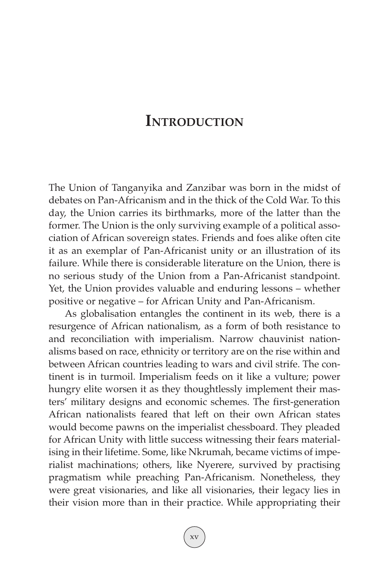## **INTRODUCTION**

The Union of Tanganyika and Zanzibar was born in the midst of debates on Pan-Africanism and in the thick of the Cold War. To this day, the Union carries its birthmarks, more of the latter than the former. The Union is the only surviving example of a political association of African sovereign states. Friends and foes alike often cite it as an exemplar of Pan-Africanist unity or an illustration of its failure. While there is considerable literature on the Union, there is no serious study of the Union from a Pan-Africanist standpoint. Yet, the Union provides valuable and enduring lessons – whether positive or negative – for African Unity and Pan-Africanism.

As globalisation entangles the continent in its web, there is a resurgence of African nationalism, as a form of both resistance to and reconciliation with imperialism. Narrow chauvinist nationalisms based on race, ethnicity or territory are on the rise within and between African countries leading to wars and civil strife. The continent is in turmoil. Imperialism feeds on it like a vulture; power hungry elite worsen it as they thoughtlessly implement their masters' military designs and economic schemes. The first-generation African nationalists feared that left on their own African states would become pawns on the imperialist chessboard. They pleaded for African Unity with little success witnessing their fears materialising in their lifetime. Some, like Nkrumah, became victims of imperialist machinations; others, like Nyerere, survived by practising pragmatism while preaching Pan-Africanism. Nonetheless, they were great visionaries, and like all visionaries, their legacy lies in their vision more than in their practice. While appropriating their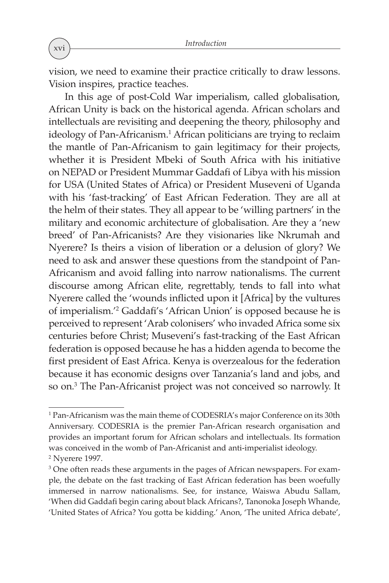vision, we need to examine their practice critically to draw lessons. Vision inspires, practice teaches.

In this age of post-Cold War imperialism, called globalisation, African Unity is back on the historical agenda. African scholars and intellectuals are revisiting and deepening the theory, philosophy and ideology of Pan-Africanism. <sup>1</sup> African politicians are trying to reclaim the mantle of Pan-Africanism to gain legitimacy for their projects, whether it is President Mbeki of South Africa with his initiative on NEPAD or President Mummar Gaddafi of Libya with his mission for USA (United States of Africa) or President Museveni of Uganda with his 'fast-tracking' of East African Federation. They are all at the helm of their states. They all appear to be 'willing partners' in the military and economic architecture of globalisation. Are they a 'new breed' of Pan-Africanists? Are they visionaries like Nkrumah and Nyerere? Is theirs a vision of liberation or a delusion of glory? We need to ask and answer these questions from the standpoint of Pan-Africanism and avoid falling into narrow nationalisms. The current discourse among African elite, regrettably, tends to fall into what Nyerere called the 'wounds inflicted upon it [Africa] by the vultures of imperialism.' <sup>2</sup> Gaddafi's 'African Union' is opposed because he is perceived to represent 'Arab colonisers' who invaded Africa some six centuries before Christ; Museveni's fast-tracking of the East African federation is opposed because he has a hidden agenda to become the first president of East Africa. Kenya is overzealous for the federation because it has economic designs over Tanzania's land and jobs, and so on. <sup>3</sup> The Pan-Africanist project was not conceived so narrowly. It

<sup>1</sup> Pan-Africanism was the main theme of CODESRIA's major Conference on its 30th Anniversary. CODESRIA is the premier Pan-African research organisation and provides an important forum for African scholars and intellectuals. Its formation was conceived in the womb of Pan-Africanist and anti-imperialist ideology. <sup>2</sup> Nyerere 1997.

<sup>&</sup>lt;sup>3</sup> One often reads these arguments in the pages of African newspapers. For example, the debate on the fast tracking of East African federation has been woefully immersed in narrow nationalisms. See, for instance, Waiswa Abudu Sallam, 'When did Gaddafi begin caring about black Africans?, Tanonoka Joseph Whande, 'United States of Africa? You gotta be kidding.' Anon, 'The united Africa debate',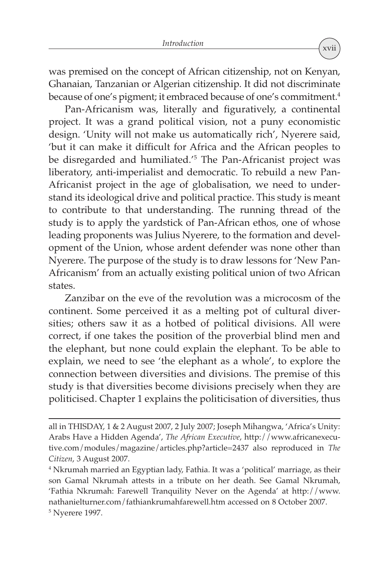was premised on the concept of African citizenship, not on Kenyan, Ghanaian, Tanzanian or Algerian citizenship. It did not discriminate because of one's pigment; it embraced because of one's commitment. 4

Pan-Africanism was, literally and figuratively, a continental project. It was a grand political vision, not a puny economistic design. 'Unity will not make us automatically rich', Nyerere said, 'but it can make it difficult for Africa and the African peoples to be disregarded and humiliated.' <sup>5</sup> The Pan-Africanist project was liberatory, anti-imperialist and democratic. To rebuild a new Pan-Africanist project in the age of globalisation, we need to understand its ideological drive and political practice. This study is meant to contribute to that understanding. The running thread of the study is to apply the yardstick of Pan-African ethos, one of whose leading proponents was Julius Nyerere, to the formation and development of the Union, whose ardent defender was none other than Nyerere. The purpose of the study is to draw lessons for 'New Pan-Africanism' from an actually existing political union of two African states.

Zanzibar on the eve of the revolution was a microcosm of the continent. Some perceived it as a melting pot of cultural diversities; others saw it as a hotbed of political divisions. All were correct, if one takes the position of the proverbial blind men and the elephant, but none could explain the elephant. To be able to explain, we need to see 'the elephant as a whole', to explore the connection between diversities and divisions. The premise of this study is that diversities become divisions precisely when they are politicised. Chapter 1 explains the politicisation of diversities, thus

all in THISDAY, 1 & 2 August 2007, 2 July 2007; Joseph Mihangwa, 'Africa's Unity: Arabs Have a Hidden Agenda', *The African Executive*, http://www.africanexecutive.com/modules/magazine/articles.php?article=2437 also reproduced in *The Citizen*, 3 August 2007.

<sup>4</sup> Nkrumah married an Egyptian lady, Fathia. It was a 'political' marriage, as their son Gamal Nkrumah attests in a tribute on her death. See Gamal Nkrumah, 'Fathia Nkrumah: Farewell Tranquility Never on the Agenda' at http://www. nathanielturner.com/fathiankrumahfarewell.htm accessed on 8 October 2007. <sup>5</sup> Nyerere 1997.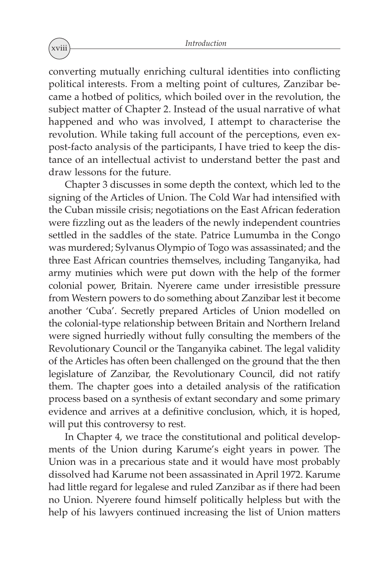converting mutually enriching cultural identities into conflicting political interests. From a melting point of cultures, Zanzibar became a hotbed of politics, which boiled over in the revolution, the subject matter of Chapter 2. Instead of the usual narrative of what happened and who was involved, I attempt to characterise the revolution. While taking full account of the perceptions, even expost-facto analysis of the participants, I have tried to keep the distance of an intellectual activist to understand better the past and draw lessons for the future.

Chapter 3 discusses in some depth the context, which led to the signing of the Articles of Union. The Cold War had intensified with the Cuban missile crisis; negotiations on the East African federation were fizzling out as the leaders of the newly independent countries settled in the saddles of the state. Patrice Lumumba in the Congo was murdered; Sylvanus Olympio of Togo was assassinated; and the three East African countries themselves, including Tanganyika, had army mutinies which were put down with the help of the former colonial power, Britain. Nyerere came under irresistible pressure from Western powers to do something about Zanzibar lest it become another 'Cuba'. Secretly prepared Articles of Union modelled on the colonial-type relationship between Britain and Northern Ireland were signed hurriedly without fully consulting the members of the Revolutionary Council or the Tanganyika cabinet. The legal validity of the Articles has often been challenged on the ground that the then legislature of Zanzibar, the Revolutionary Council, did not ratify them. The chapter goes into a detailed analysis of the ratification process based on a synthesis of extant secondary and some primary evidence and arrives at a definitive conclusion, which, it is hoped, will put this controversy to rest.

In Chapter 4, we trace the constitutional and political developments of the Union during Karume's eight years in power. The Union was in a precarious state and it would have most probably dissolved had Karume not been assassinated in April 1972. Karume had little regard for legalese and ruled Zanzibar as if there had been no Union. Nyerere found himself politically helpless but with the help of his lawyers continued increasing the list of Union matters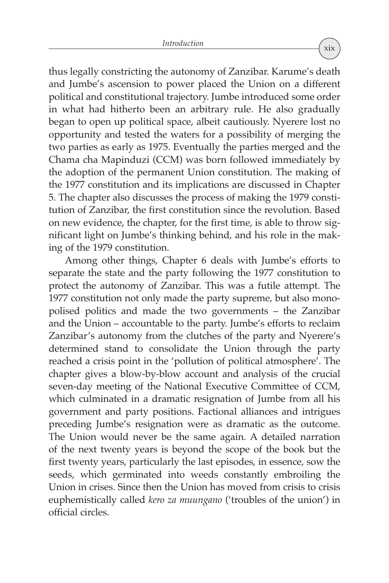thus legally constricting the autonomy of Zanzibar. Karume's death and Jumbe's ascension to power placed the Union on a different political and constitutional trajectory. Jumbe introduced some order in what had hitherto been an arbitrary rule. He also gradually began to open up political space, albeit cautiously. Nyerere lost no opportunity and tested the waters for a possibility of merging the two parties as early as 1975. Eventually the parties merged and the Chama cha Mapinduzi (CCM) was born followed immediately by the adoption of the permanent Union constitution. The making of the 1977 constitution and its implications are discussed in Chapter 5. The chapter also discusses the process of making the 1979 constitution of Zanzibar, the first constitution since the revolution. Based on new evidence, the chapter, for the first time, is able to throw significant light on Jumbe's thinking behind, and his role in the making of the 1979 constitution.

Among other things, Chapter 6 deals with Jumbe's efforts to separate the state and the party following the 1977 constitution to protect the autonomy of Zanzibar. This was a futile attempt. The 1977 constitution not only made the party supreme, but also monopolised politics and made the two governments – the Zanzibar and the Union – accountable to the party. Jumbe's efforts to reclaim Zanzibar's autonomy from the clutches of the party and Nyerere's determined stand to consolidate the Union through the party reached a crisis point in the 'pollution of political atmosphere'. The chapter gives a blow-by-blow account and analysis of the crucial seven-day meeting of the National Executive Committee of CCM, which culminated in a dramatic resignation of Jumbe from all his government and party positions. Factional alliances and intrigues preceding Jumbe's resignation were as dramatic as the outcome. The Union would never be the same again. A detailed narration of the next twenty years is beyond the scope of the book but the first twenty years, particularly the last episodes, in essence, sow the seeds, which germinated into weeds constantly embroiling the Union in crises. Since then the Union has moved from crisis to crisis euphemistically called *kero za muungano* ('troubles of the union') in official circles.